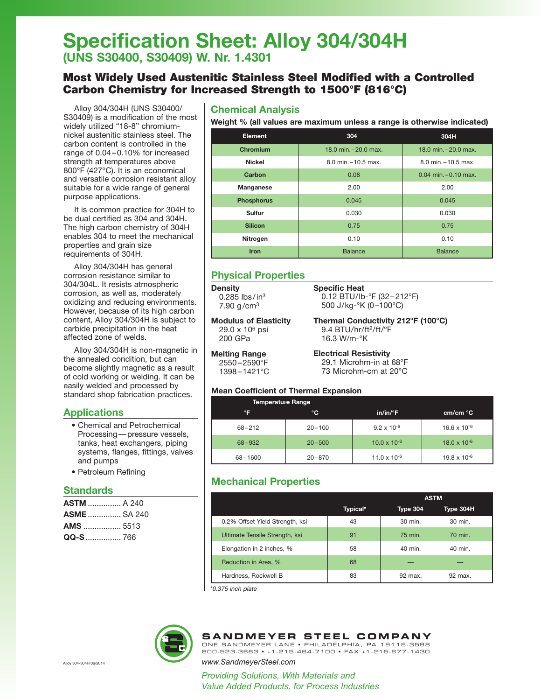# **Specification Sheet: Alloy 304/304H (UNS S30400, S30409) W. Nr. 1.4301**

## Most Widely Used Austenitic Stainless Steel Modified with a Controlled Carbon Chemistry for Increased Strength to 1500°F (816°C)

Alloy 304/304H (UNS S30400/ S30409) is a modification of the most widely utilized "18-8" chromiumnickel austenitic stainless steel. The carbon content is controlled in the range of 0.04–0.10% for increased strength at temperatures above 800°F (427°C). It is an economical and versatile corrosion resistant alloy suitable for a wide range of general purpose applications.

It is common practice for 304H to be dual certified as 304 and 304H. The high carbon chemistry of 304H enables 304 to meet the mechanical properties and grain size requirements of 304H.

Alloy 304/304H has general corrosion resistance similar to 304/304L. It resists atmospheric corrosion, as well as, moderately oxidizing and reducing environments. However, because of its high carbon content, Alloy 304/304H is subject to carbide precipitation in the heat affected zone of welds.

Alloy 304/304H is non-magnetic in the annealed condition, but can become slightly magnetic as a result of cold working or welding. It can be easily welded and processed by standard shop fabrication practices.

## **Applications**

- Chemical and Petrochemical Processing—pressure vessels, tanks, heat exchangers, piping systems, flanges, fittings, valves and pumps
- Petroleum Refining

### **Standards**

| <b>ASTM</b> A 240  |  |
|--------------------|--|
| <b>ASME</b> SA 240 |  |
| <b>AMS</b> 5513    |  |
| QQ-S  766          |  |

### **Chemical Analysis**

**Weight % (all values are maximum unless a range is otherwise indicated)**

| <b>Element</b>    | 304                   | 304H                     |  |  |
|-------------------|-----------------------|--------------------------|--|--|
| Chromium          | 18.0 min. - 20.0 max. | 18.0 min. $-20.0$ max.   |  |  |
| <b>Nickel</b>     | 8.0 min. - 10.5 max.  | 8.0 min. - 10.5 max.     |  |  |
| Carbon            | 0.08                  | $0.04$ min. $-0.10$ max. |  |  |
| Manganese         | 2.00                  | 2.00                     |  |  |
| <b>Phosphorus</b> | 0.045                 | 0.045                    |  |  |
| Sulfur            | 0.030                 | 0.030                    |  |  |
| <b>Silicon</b>    | 0.75                  | 0.75                     |  |  |
| Nitrogen          | 0.10                  | 0.10                     |  |  |
| <b>Iron</b>       | <b>Balance</b>        | <b>Balance</b>           |  |  |

## **Physical Properties**

**Density**  $0.285$  lbs/in<sup>3</sup>  $7.90$  g/cm<sup>3</sup>

**Melting Range** 2550–2590°F 1398–1421°C

**Modulus of Elasticity** 29.0 x 106 psi 200 GPa

**Specific Heat** 0.12 BTU/lb-°F (32–212°F) 500 J/kg-°K (0–100°C)

**Thermal Conductivity 212°F (100°C)** 9.4 BTU/hr/ft<sup>2</sup>/ft/°F 16.3 W/m-°K

**Electrical Resistivity** 29.1 Microhm-in at 68°F 73 Microhm-cm at 20°C

### **Mean Coefficient of Thermal Expansion**

| <b>Temperature Range</b> |            |                       |                       |
|--------------------------|------------|-----------------------|-----------------------|
| °F                       | °C         | $in/in/{}^{\circ}F$   | cm/cm °C              |
| $68 - 212$               | $20 - 100$ | $9.2 \times 10^{-6}$  | $16.6 \times 10^{-6}$ |
| 68-932                   | $20 - 500$ | $10.0 \times 10^{-6}$ | $18.0 \times 10^{-6}$ |
| 68-1600                  | $20 - 870$ | $11.0 \times 10^{-6}$ | $19.8 \times 10^{-6}$ |

## **Mechanical Properties**

|                                 |          | <b>ASTM</b>     |           |  |  |
|---------------------------------|----------|-----------------|-----------|--|--|
|                                 | Typical* | <b>Type 304</b> | Type 304H |  |  |
| 0.2% Offset Yield Strength, ksi | 43       | 30 min.         | 30 min.   |  |  |
| Ultimate Tensile Strength, ksi  | 91       | 75 min.         | 70 min.   |  |  |
| Elongation in 2 inches, %       | 58       | 40 min.         | 40 min.   |  |  |
| Reduction in Area, %            | 68       |                 |           |  |  |
| Hardness, Rockwell B            | 83       | 92 max.         | 92 max.   |  |  |

\**0.375 inch plate*



## **SANDMEYER STEEL COMPANY**

ONE SANDMEYER LANE • PHILADELPHIA, PA 19116-3598 800-523-3663 • +1-215-464-7100 • FAX +1-215-677-1430

Alloy 304-304H 06/2014 *www.SandmeyerSteel.com*

*Providing Solutions, With Materials and Value Added Products, for Process Industries*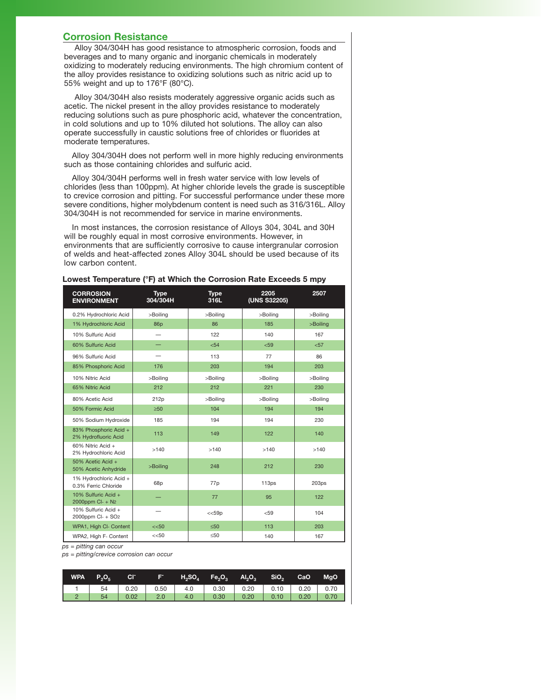#### **Corrosion Resistance**

Alloy 304/304H has good resistance to atmospheric corrosion, foods and beverages and to many organic and inorganic chemicals in moderately oxidizing to moderately reducing environments. The high chromium content of the alloy provides resistance to oxidizing solutions such as nitric acid up to 55% weight and up to 176°F (80°C).

Alloy 304/304H also resists moderately aggressive organic acids such as acetic. The nickel present in the alloy provides resistance to moderately reducing solutions such as pure phosphoric acid, whatever the concentration, in cold solutions and up to 10% diluted hot solutions. The alloy can also operate successfully in caustic solutions free of chlorides or fluorides at moderate temperatures.

Alloy 304/304H does not perform well in more highly reducing environments such as those containing chlorides and sulfuric acid.

Alloy 304/304H performs well in fresh water service with low levels of chlorides (less than 100ppm). At higher chloride levels the grade is susceptible to crevice corrosion and pitting. For successful performance under these more severe conditions, higher molybdenum content is need such as 316/316L. Alloy 304/304H is not recommended for service in marine environments.

In most instances, the corrosion resistance of Alloys 304, 304L and 30H will be roughly equal in most corrosive environments. However, in environments that are sufficiently corrosive to cause intergranular corrosion of welds and heat-affected zones Alloy 304L should be used because of its low carbon content.

| <b>CORROSION</b><br><b>ENVIRONMENT</b>               | <b>Type</b><br>304/304H | <b>Type</b><br>316L | 2205<br>(UNS S32205) | 2507     |
|------------------------------------------------------|-------------------------|---------------------|----------------------|----------|
| 0.2% Hydrochloric Acid                               | >Boiling                | >Boiling            | >Boiling             | >Boiling |
| 1% Hydrochloric Acid                                 | 86p                     | 86                  | 185                  | >Boiling |
| 10% Sulfuric Acid                                    |                         | 122                 | 140                  | 167      |
| 60% Sulfuric Acid                                    |                         | < 54                | < 59                 | $57$     |
| 96% Sulfuric Acid                                    |                         | 113                 | 77                   | 86       |
| 85% Phosphoric Acid                                  | 176                     | 203                 | 194                  | 203      |
| 10% Nitric Acid                                      | >Boiling                | >Boiling            | >Boiling             | >Boiling |
| 65% Nitric Acid                                      | 212                     | 212                 | 221                  | 230      |
| 80% Acetic Acid                                      | 212p                    | >Boiling            | >Boiling             | >Boilina |
| 50% Formic Acid                                      | $\geq 50$               | 104                 | 194                  | 194      |
| 50% Sodium Hydroxide                                 | 185                     | 194                 | 194                  | 230      |
| 83% Phosphoric Acid +<br>2% Hydrofluoric Acid        | 113                     | 149                 | 122                  | 140      |
| 60% Nitric Acid +<br>2% Hydrochloric Acid            | >140                    | >140                | >140                 | >140     |
| 50% Acetic Acid +<br>50% Acetic Anhydride            | >Boiling                | 248                 | 212                  | 230      |
| 1% Hydrochloric Acid +<br>0.3% Ferric Chloride       | 68p                     | 77p                 | 113ps                | 203ps    |
| 10% Sulfuric Acid +<br>2000ppm Cl- + N2              |                         | 77                  | 95                   | 122      |
| 10% Sulfuric Acid +<br>2000ppm Cl- + SO <sub>2</sub> |                         | <<59p               | < 59                 | 104      |
| WPA1, High Cl- Content                               | $<<$ 50                 | ≤50                 | 113                  | 203      |
| WPA2, High F- Content                                | << 50                   | ≤50                 | 140                  | 167      |

**Lowest Temperature (°F) at Which the Corrosion Rate Exceeds 5 mpy**

*ps = pitting can occur*

*ps = pitting/crevice corrosion can occur*

| <b>WPA</b> | $P_2O_5$ | <b>CI</b> |     |     | $F^+$ H <sub>2</sub> SO <sub>4</sub> Fe <sub>2</sub> O <sub>3</sub> Al <sub>2</sub> O <sub>3</sub> |      | SiO <sub>2</sub> | CaO  | <b>MgO</b> |
|------------|----------|-----------|-----|-----|----------------------------------------------------------------------------------------------------|------|------------------|------|------------|
|            |          |           |     |     |                                                                                                    |      |                  |      |            |
|            | 54       | 0.02      | 2.0 | 4.0 | 0.30                                                                                               | 0.20 | 0.10             | 0.20 | 0.70       |